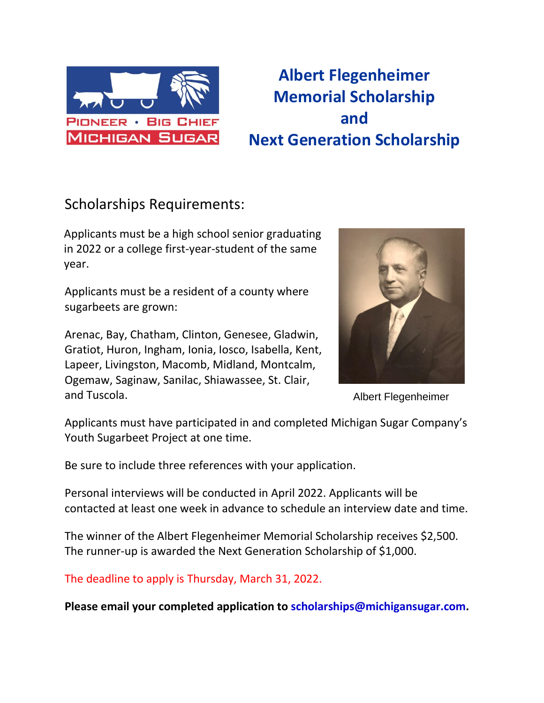

## **Albert Flegenheimer Memorial Scholarship and Next Generation Scholarship**

## Scholarships Requirements:

Applicants must be a high school senior graduating in 2022 or a college first-year-student of the same year.

Applicants must be a resident of a county where sugarbeets are grown:

Arenac, Bay, Chatham, Clinton, Genesee, Gladwin, Gratiot, Huron, Ingham, Ionia, Iosco, Isabella, Kent, Lapeer, Livingston, Macomb, Midland, Montcalm, Ogemaw, Saginaw, Sanilac, Shiawassee, St. Clair, and Tuscola.



Albert Flegenheimer

Applicants must have participated in and completed Michigan Sugar Company's Youth Sugarbeet Project at one time.

Be sure to include three references with your application.

Personal interviews will be conducted in April 2022. Applicants will be contacted at least one week in advance to schedule an interview date and time.

The winner of the Albert Flegenheimer Memorial Scholarship receives \$2,500. The runner-up is awarded the Next Generation Scholarship of \$1,000.

The deadline to apply is Thursday, March 31, 2022.

**Please email your completed application to [scholarships@michigansugar.com.](mailto:scholarships@michigansugar.com)**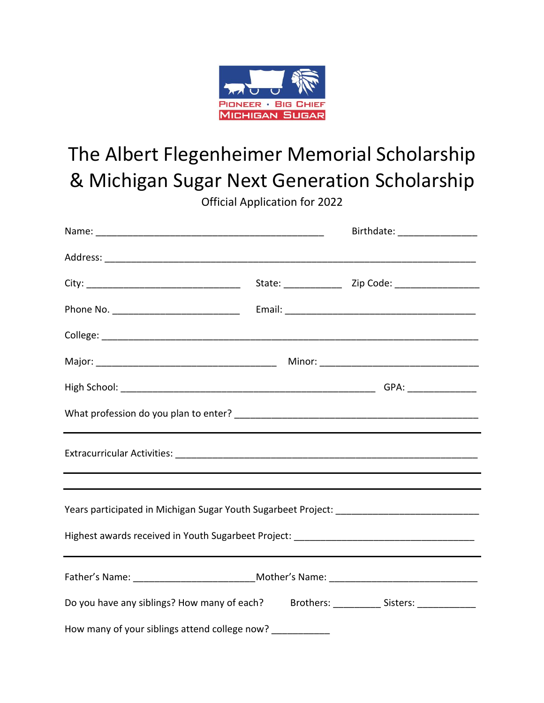

## The Albert Flegenheimer Memorial Scholarship & Michigan Sugar Next Generation Scholarship

Official Application for 2022

|                                                                                       | Birthdate: __________________ |
|---------------------------------------------------------------------------------------|-------------------------------|
|                                                                                       |                               |
|                                                                                       |                               |
|                                                                                       |                               |
|                                                                                       |                               |
|                                                                                       |                               |
|                                                                                       |                               |
|                                                                                       |                               |
|                                                                                       |                               |
|                                                                                       |                               |
|                                                                                       |                               |
|                                                                                       |                               |
|                                                                                       |                               |
| Do you have any siblings? How many of each? Brothers: __________ Sisters: ___________ |                               |
| How many of your siblings attend college now?                                         |                               |